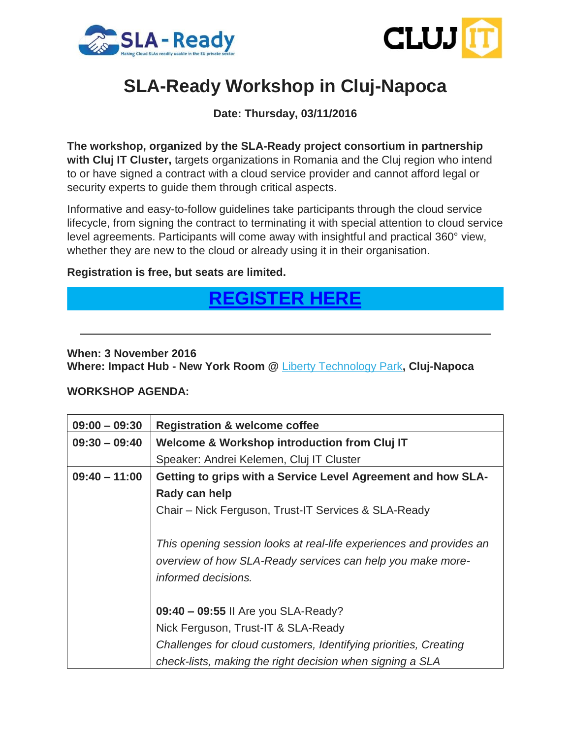



# **SLA-Ready Workshop in Cluj-Napoca**

**Date: Thursday, 03/11/2016**

**The workshop, organized by the SLA-Ready project consortium in partnership with Cluj IT Cluster,** targets organizations in Romania and the Cluj region who intend to or have signed a contract with a cloud service provider and cannot afford legal or security experts to guide them through critical aspects.

Informative and easy-to-follow guidelines take participants through the cloud service lifecycle, from signing the contract to terminating it with special attention to cloud service level agreements. Participants will come away with insightful and practical 360° view, whether they are new to the cloud or already using it in their organisation.

### **Registration is free, but seats are limited.**

## **[REGISTER](http://www.sla-ready.eu/register-sla-ready-workshop-cluj-romania-november-3rd#overlay-context=register-sla-ready-workshop-cluj-romania) HERE**

### **When: 3 November 2016**

**Where: Impact Hub - New York Room @** [Liberty Technology Park](http://cluj.impacthub.ro/)**, Cluj-Napoca**

#### **WORKSHOP AGENDA:**

| $09:00 - 09:30$ | <b>Registration &amp; welcome coffee</b>                            |
|-----------------|---------------------------------------------------------------------|
| $09:30 - 09:40$ | Welcome & Workshop introduction from Cluj IT                        |
|                 | Speaker: Andrei Kelemen, Cluj IT Cluster                            |
| $09:40 - 11:00$ | Getting to grips with a Service Level Agreement and how SLA-        |
|                 | Rady can help                                                       |
|                 | Chair - Nick Ferguson, Trust-IT Services & SLA-Ready                |
|                 |                                                                     |
|                 | This opening session looks at real-life experiences and provides an |
|                 | overview of how SLA-Ready services can help you make more-          |
|                 | informed decisions.                                                 |
|                 |                                                                     |
|                 | 09:40 - 09:55 II Are you SLA-Ready?                                 |
|                 | Nick Ferguson, Trust-IT & SLA-Ready                                 |
|                 | Challenges for cloud customers, Identifying priorities, Creating    |
|                 | check-lists, making the right decision when signing a SLA           |